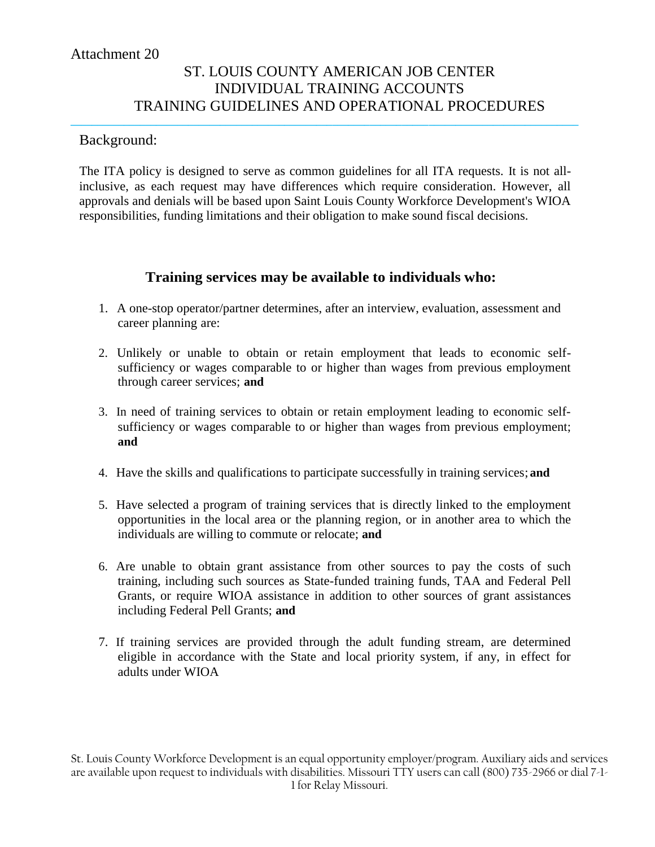# ST. LOUIS COUNTY AMERICAN JOB CENTER INDIVIDUAL TRAINING ACCOUNTS TRAINING GUIDELINES AND OPERATIONAL PROCEDURES

#### Background:

The ITA policy is designed to serve as common guidelines for all ITA requests. It is not allinclusive, as each request may have differences which require consideration. However, all approvals and denials will be based upon Saint Louis County Workforce Development's WIOA responsibilities, funding limitations and their obligation to make sound fiscal decisions.

**\_\_\_\_\_\_\_\_\_\_\_\_\_\_\_\_\_\_\_\_\_\_\_\_\_\_\_\_\_\_\_\_\_\_\_\_\_\_\_\_\_\_\_\_\_\_\_\_\_\_\_\_\_\_\_\_\_\_\_\_\_\_\_\_\_\_\_\_\_\_\_\_\_\_\_\_\_\_\_\_\_\_\_\_\_\_\_\_\_\_\_\_\_\_\_**

#### **Training services may be available to individuals who:**

- 1. A one-stop operator/partner determines, after an interview, evaluation, assessment and career planning are:
- 2. Unlikely or unable to obtain or retain employment that leads to economic selfsufficiency or wages comparable to or higher than wages from previous employment through career services; **and**
- 3. In need of training services to obtain or retain employment leading to economic selfsufficiency or wages comparable to or higher than wages from previous employment; **and**
- 4. Have the skills and qualifications to participate successfully in training services; **and**
- 5. Have selected a program of training services that is directly linked to the employment opportunities in the local area or the planning region, or in another area to which the individuals are willing to commute or relocate; **and**
- 6. Are unable to obtain grant assistance from other sources to pay the costs of such training, including such sources as State-funded training funds, TAA and Federal Pell Grants, or require WIOA assistance in addition to other sources of grant assistances including Federal Pell Grants; **and**
- 7. If training services are provided through the adult funding stream, are determined eligible in accordance with the State and local priority system, if any, in effect for adults under WIOA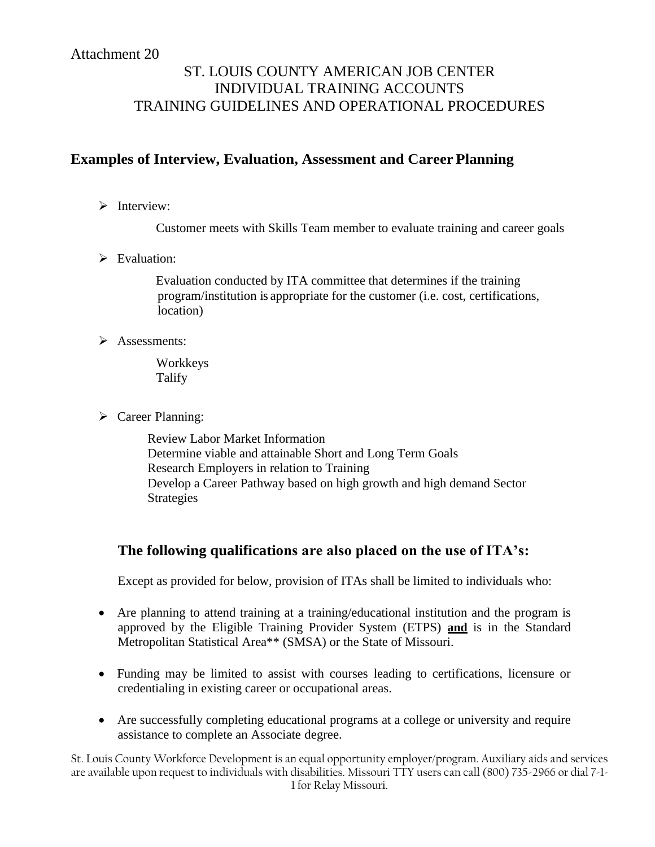# ST. LOUIS COUNTY AMERICAN JOB CENTER INDIVIDUAL TRAINING ACCOUNTS TRAINING GUIDELINES AND OPERATIONAL PROCEDURES

## **Examples of Interview, Evaluation, Assessment and Career Planning**

 $\triangleright$  Interview:

Customer meets with Skills Team member to evaluate training and career goals

 $\triangleright$  Evaluation:

Evaluation conducted by ITA committee that determines if the training program/institution is appropriate for the customer (i.e. cost, certifications, location)

 $\triangleright$  Assessments:

Workkeys Talify

 $\triangleright$  Career Planning:

Review Labor Market Information Determine viable and attainable Short and Long Term Goals Research Employers in relation to Training Develop a Career Pathway based on high growth and high demand Sector Strategies

## **The following qualifications are also placed on the use of ITA's:**

Except as provided for below, provision of ITAs shall be limited to individuals who:

- Are planning to attend training at a training/educational institution and the program is approved by the Eligible Training Provider System (ETPS) **and** is in the Standard Metropolitan Statistical Area\*\* (SMSA) or the State of Missouri.
- Funding may be limited to assist with courses leading to certifications, licensure or credentialing in existing career or occupational areas.
- Are successfully completing educational programs at a college or university and require assistance to complete an Associate degree.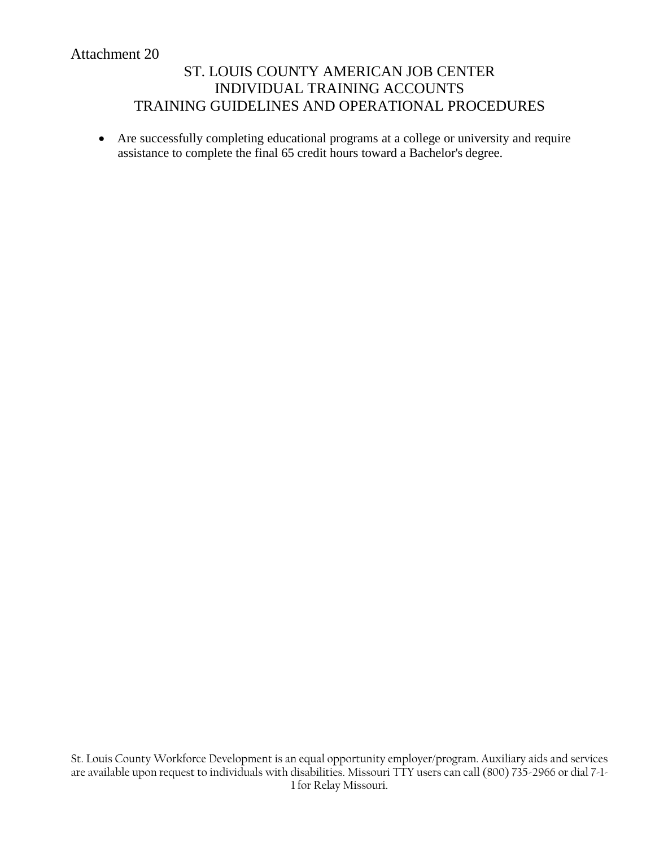# ST. LOUIS COUNTY AMERICAN JOB CENTER INDIVIDUAL TRAINING ACCOUNTS TRAINING GUIDELINES AND OPERATIONAL PROCEDURES

 Are successfully completing educational programs at a college or university and require assistance to complete the final 65 credit hours toward a Bachelor's degree.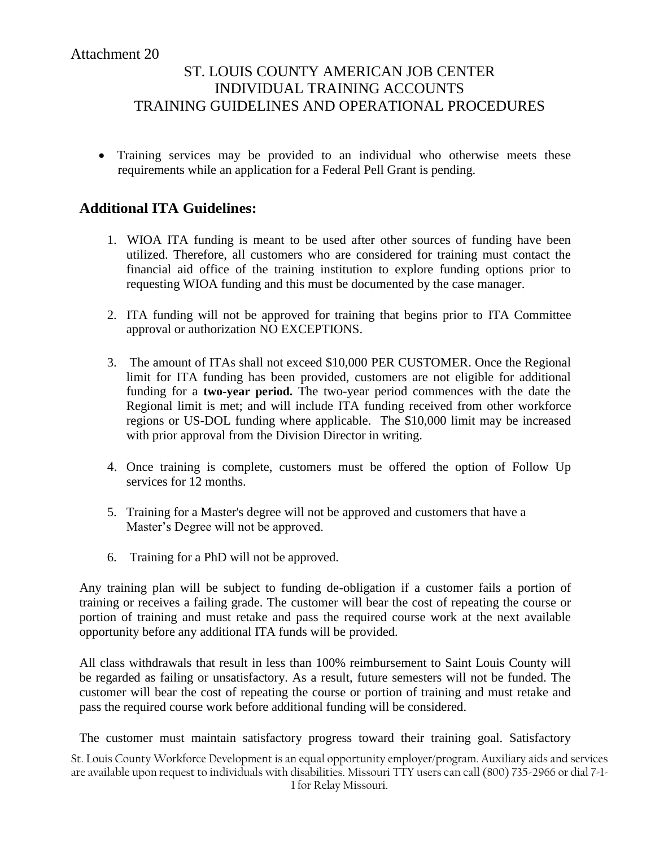Training services may be provided to an individual who otherwise meets these requirements while an application for a Federal Pell Grant is pending.

## **Additional ITA Guidelines:**

- 1. WIOA ITA funding is meant to be used after other sources of funding have been utilized. Therefore, all customers who are considered for training must contact the financial aid office of the training institution to explore funding options prior to requesting WIOA funding and this must be documented by the case manager.
- 2. ITA funding will not be approved for training that begins prior to ITA Committee approval or authorization NO EXCEPTIONS.
- 3. The amount of ITAs shall not exceed \$10,000 PER CUSTOMER. Once the Regional limit for ITA funding has been provided, customers are not eligible for additional funding for a **two-year period.** The two-year period commences with the date the Regional limit is met; and will include ITA funding received from other workforce regions or US-DOL funding where applicable. The \$10,000 limit may be increased with prior approval from the Division Director in writing.
- 4. Once training is complete, customers must be offered the option of Follow Up services for 12 months.
- 5. Training for a Master's degree will not be approved and customers that have a Master's Degree will not be approved.
- 6. Training for a PhD will not be approved.

Any training plan will be subject to funding de-obligation if a customer fails a portion of training or receives a failing grade. The customer will bear the cost of repeating the course or portion of training and must retake and pass the required course work at the next available opportunity before any additional ITA funds will be provided.

All class withdrawals that result in less than 100% reimbursement to Saint Louis County will be regarded as failing or unsatisfactory. As a result, future semesters will not be funded. The customer will bear the cost of repeating the course or portion of training and must retake and pass the required course work before additional funding will be considered.

The customer must maintain satisfactory progress toward their training goal. Satisfactory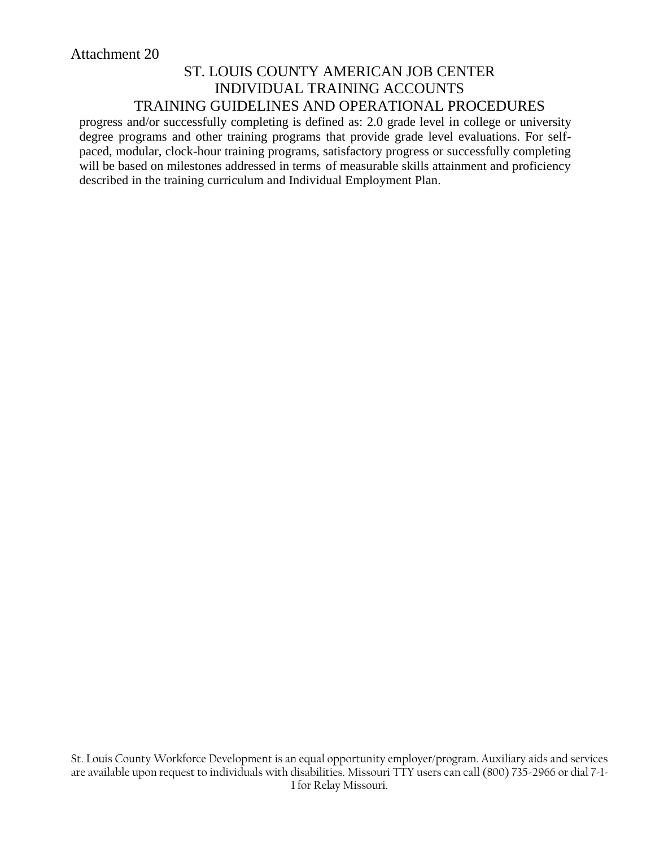progress and/or successfully completing is defined as: 2.0 grade level in college or university degree programs and other training programs that provide grade level evaluations. For selfpaced, modular, clock-hour training programs, satisfactory progress or successfully completing will be based on milestones addressed in terms of measurable skills attainment and proficiency described in the training curriculum and Individual Employment Plan.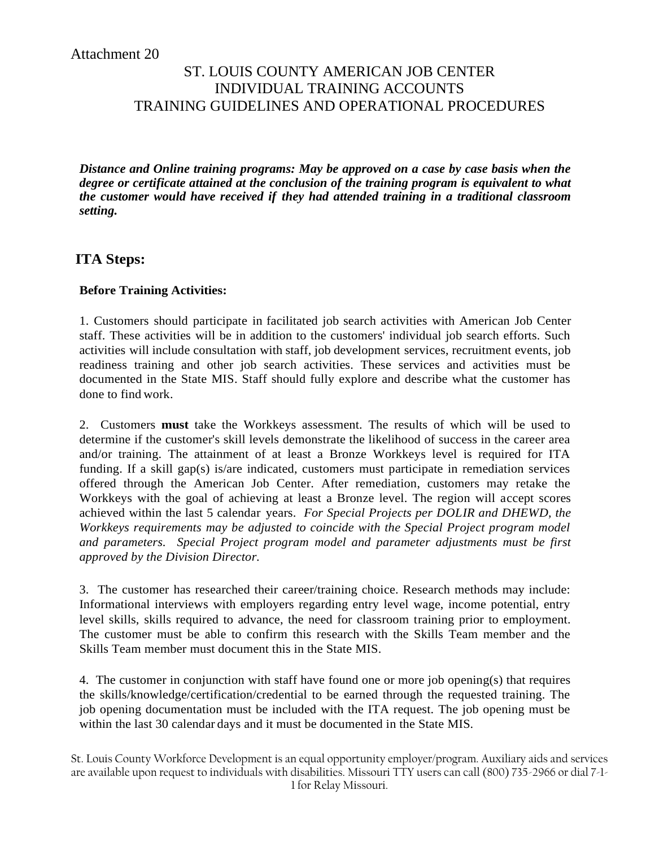# ST. LOUIS COUNTY AMERICAN JOB CENTER INDIVIDUAL TRAINING ACCOUNTS TRAINING GUIDELINES AND OPERATIONAL PROCEDURES

*Distance and Online training programs: May be approved on a case by case basis when the degree or certificate attained at the conclusion of the training program is equivalent to what the customer would have received if they had attended training in a traditional classroom setting.*

#### **ITA Steps:**

#### **Before Training Activities:**

1. Customers should participate in facilitated job search activities with American Job Center staff. These activities will be in addition to the customers' individual job search efforts. Such activities will include consultation with staff, job development services, recruitment events, job readiness training and other job search activities. These services and activities must be documented in the State MIS. Staff should fully explore and describe what the customer has done to find work.

2. Customers **must** take the Workkeys assessment. The results of which will be used to determine if the customer's skill levels demonstrate the likelihood of success in the career area and/or training. The attainment of at least a Bronze Workkeys level is required for ITA funding. If a skill gap(s) is/are indicated, customers must participate in remediation services offered through the American Job Center. After remediation, customers may retake the Workkeys with the goal of achieving at least a Bronze level. The region will accept scores achieved within the last 5 calendar years. *For Special Projects per DOLIR and DHEWD, the Workkeys requirements may be adjusted to coincide with the Special Project program model and parameters. Special Project program model and parameter adjustments must be first approved by the Division Director.*

3. The customer has researched their career/training choice. Research methods may include: Informational interviews with employers regarding entry level wage, income potential, entry level skills, skills required to advance, the need for classroom training prior to employment. The customer must be able to confirm this research with the Skills Team member and the Skills Team member must document this in the State MIS.

4. The customer in conjunction with staff have found one or more job opening(s) that requires the skills/knowledge/certification/credential to be earned through the requested training. The job opening documentation must be included with the ITA request. The job opening must be within the last 30 calendar days and it must be documented in the State MIS.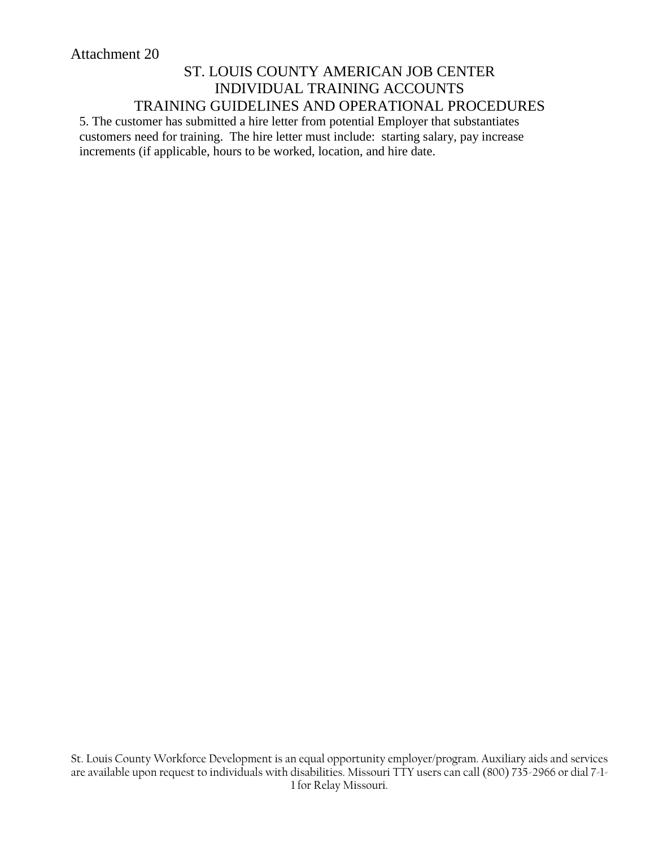5. The customer has submitted a hire letter from potential Employer that substantiates customers need for training. The hire letter must include: starting salary, pay increase increments (if applicable, hours to be worked, location, and hire date.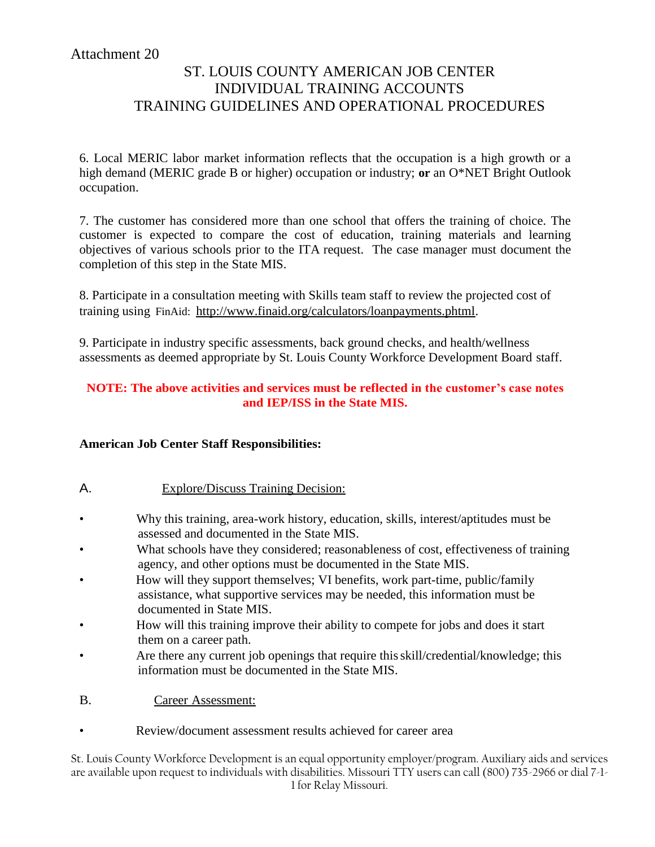# ST. LOUIS COUNTY AMERICAN JOB CENTER INDIVIDUAL TRAINING ACCOUNTS TRAINING GUIDELINES AND OPERATIONAL PROCEDURES

6. Local MERIC labor market information reflects that the occupation is a high growth or a high demand (MERIC grade B or higher) occupation or industry; **or** an O\*NET Bright Outlook occupation.

7. The customer has considered more than one school that offers the training of choice. The customer is expected to compare the cost of education, training materials and learning objectives of various schools prior to the ITA request. The case manager must document the completion of this step in the State MIS.

8. Participate in a consultation meeting with Skills team staff to review the projected cost of training using FinAid: [http://www.finaid.org/calculators/loanpayments.phtml.](http://www.finaid.org/calculators/loanpayments.phtml)

9. Participate in industry specific assessments, back ground checks, and health/wellness assessments as deemed appropriate by St. Louis County Workforce Development Board staff.

#### **NOTE: The above activities and services must be reflected in the customer's case notes and IEP/ISS in the State MIS.**

#### **American Job Center Staff Responsibilities:**

#### A. Explore/Discuss Training Decision:

- Why this training, area-work history, education, skills, interest/aptitudes must be assessed and documented in the State MIS.
- What schools have they considered; reasonableness of cost, effectiveness of training agency, and other options must be documented in the State MIS.
- How will they support themselves; VI benefits, work part-time, public/family assistance, what supportive services may be needed, this information must be documented in State MIS.
- How will this training improve their ability to compete for jobs and does it start them on a career path.
- Are there any current job openings that require this skill/credential/knowledge; this information must be documented in the State MIS.
- B. Career Assessment:
	- Review/document assessment results achieved for career area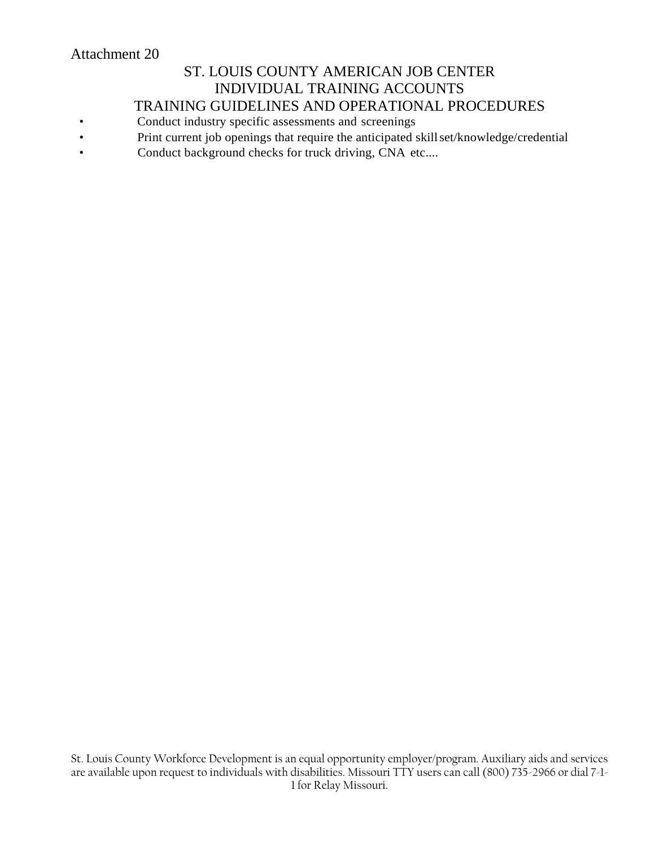# ST. LOUIS COUNTY AMERICAN JOB CENTER INDIVIDUAL TRAINING ACCOUNTS

TRAINING GUIDELINES AND OPERATIONAL PROCEDURES

- Conduct industry specific assessments and screenings
- Print current job openings that require the anticipated skill set/knowledge/credential
- Conduct background checks for truck driving, CNA etc....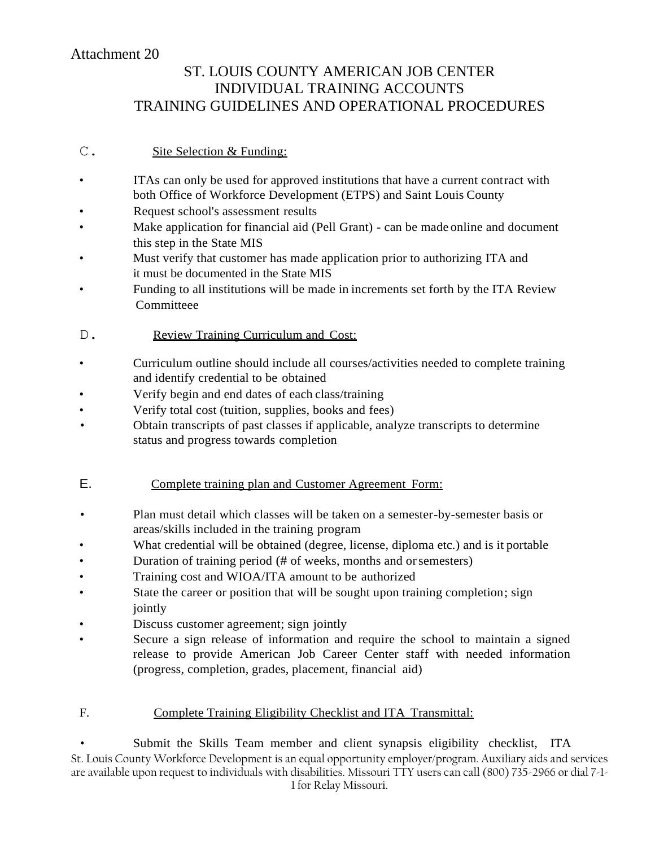# ST. LOUIS COUNTY AMERICAN JOB CENTER INDIVIDUAL TRAINING ACCOUNTS TRAINING GUIDELINES AND OPERATIONAL PROCEDURES

#### C. Site Selection & Funding:

- ITAs can only be used for approved institutions that have a current contract with both Office of Workforce Development (ETPS) and Saint Louis County
- Request school's assessment results
- Make application for financial aid (Pell Grant) can be made online and document this step in the State MIS
- Must verify that customer has made application prior to authorizing ITA and it must be documented in the State MIS
- Funding to all institutions will be made in increments set forth by the ITA Review Committeee
- D. Review Training Curriculum and Cost:
- Curriculum outline should include all courses/activities needed to complete training and identify credential to be obtained
- Verify begin and end dates of each class/training
- Verify total cost (tuition, supplies, books and fees)
- Obtain transcripts of past classes if applicable, analyze transcripts to determine status and progress towards completion

#### E. Complete training plan and Customer Agreement Form:

- Plan must detail which classes will be taken on a semester-by-semester basis or areas/skills included in the training program
- What credential will be obtained (degree, license, diploma etc.) and is it portable
- Duration of training period (# of weeks, months and orsemesters)
- Training cost and WIOA/ITA amount to be authorized
- State the career or position that will be sought upon training completion; sign jointly
- Discuss customer agreement; sign jointly
- Secure a sign release of information and require the school to maintain a signed release to provide American Job Career Center staff with needed information (progress, completion, grades, placement, financial aid)

#### F. Complete Training Eligibility Checklist and ITA Transmittal:

St. Louis County Workforce Development is an equal opportunity employer/program. Auxiliary aids and services are available upon request to individuals with disabilities. Missouri TTY users can call (800) 735-2966 or dial 7-1- 1 for Relay Missouri. Submit the Skills Team member and client synapsis eligibility checklist, ITA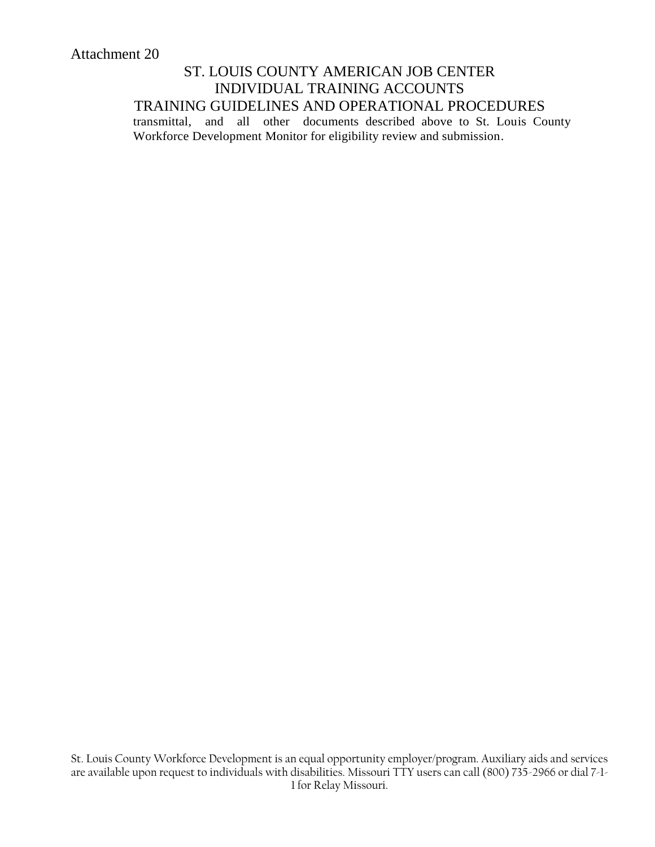transmittal, and all other documents described above to St. Louis County Workforce Development Monitor for eligibility review and submission.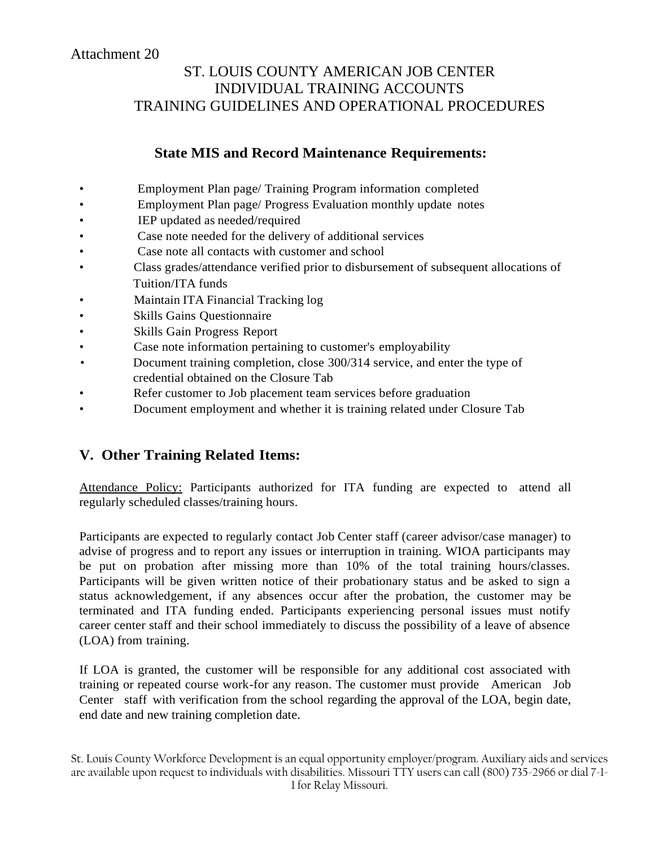# ST. LOUIS COUNTY AMERICAN JOB CENTER INDIVIDUAL TRAINING ACCOUNTS TRAINING GUIDELINES AND OPERATIONAL PROCEDURES

## **State MIS and Record Maintenance Requirements:**

- Employment Plan page/ Training Program information completed
	- Employment Plan page/ Progress Evaluation monthly update notes
- IEP updated as needed/required
- Case note needed for the delivery of additional services
- Case note all contacts with customer and school
- Class grades/attendance verified prior to disbursement of subsequent allocations of Tuition/ITA funds
- Maintain ITA Financial Tracking log
- Skills Gains Questionnaire
- Skills Gain Progress Report
- Case note information pertaining to customer's employability
- Document training completion, close 300/314 service, and enter the type of credential obtained on the Closure Tab
- Refer customer to Job placement team services before graduation
- Document employment and whether it is training related under Closure Tab

## **V. Other Training Related Items:**

Attendance Policy: Participants authorized for ITA funding are expected to attend all regularly scheduled classes/training hours.

Participants are expected to regularly contact Job Center staff (career advisor/case manager) to advise of progress and to report any issues or interruption in training. WIOA participants may be put on probation after missing more than 10% of the total training hours/classes. Participants will be given written notice of their probationary status and be asked to sign a status acknowledgement, if any absences occur after the probation, the customer may be terminated and ITA funding ended. Participants experiencing personal issues must notify career center staff and their school immediately to discuss the possibility of a leave of absence (LOA) from training.

If LOA is granted, the customer will be responsible for any additional cost associated with training or repeated course work-for any reason. The customer must provide American Job Center staff with verification from the school regarding the approval of the LOA, begin date, end date and new training completion date.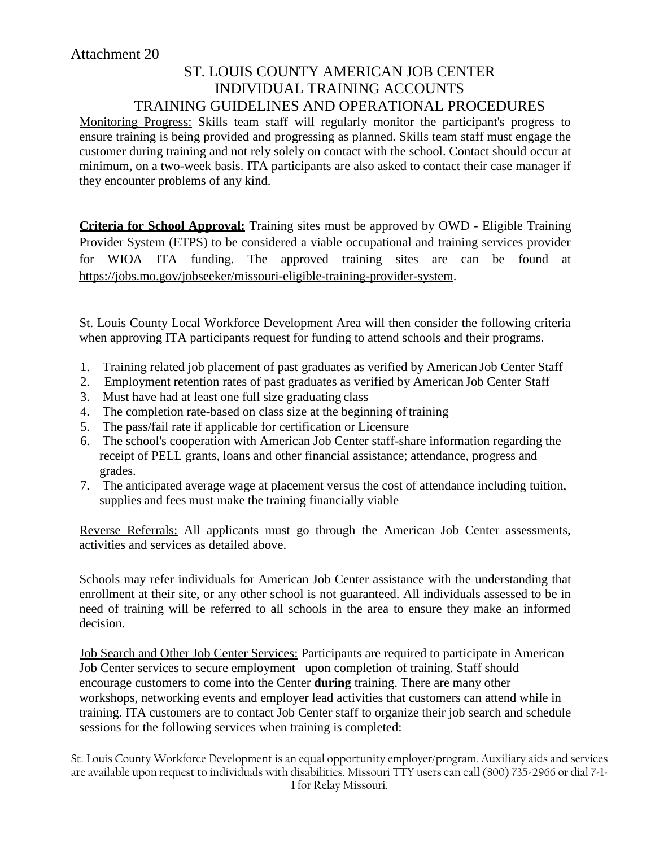Monitoring Progress: Skills team staff will regularly monitor the participant's progress to ensure training is being provided and progressing as planned. Skills team staff must engage the customer during training and not rely solely on contact with the school. Contact should occur at minimum, on a two-week basis. ITA participants are also asked to contact their case manager if they encounter problems of any kind.

**Criteria for School Approval:** Training sites must be approved by OWD - Eligible Training Provider System (ETPS) to be considered a viable occupational and training services provider for WIOA ITA funding. The approved training sites are can be found at https://jobs.mo.gov/jobseeker/missouri-eligible-training-provider-system.

St. Louis County Local Workforce Development Area will then consider the following criteria when approving ITA participants request for funding to attend schools and their programs.

- 1. Training related job placement of past graduates as verified by American Job Center Staff
- 2. Employment retention rates of past graduates as verified by American Job Center Staff
- 3. Must have had at least one full size graduating class
- 4. The completion rate-based on class size at the beginning of training
- 5. The pass/fail rate if applicable for certification or Licensure
- 6. The school's cooperation with American Job Center staff-share information regarding the receipt of PELL grants, loans and other financial assistance; attendance, progress and grades.
- 7. The anticipated average wage at placement versus the cost of attendance including tuition, supplies and fees must make the training financially viable

Reverse Referrals: All applicants must go through the American Job Center assessments, activities and services as detailed above.

Schools may refer individuals for American Job Center assistance with the understanding that enrollment at their site, or any other school is not guaranteed. All individuals assessed to be in need of training will be referred to all schools in the area to ensure they make an informed decision.

Job Search and Other Job Center Services: Participants are required to participate in American Job Center services to secure employment upon completion of training. Staff should encourage customers to come into the Center **during** training. There are many other workshops, networking events and employer lead activities that customers can attend while in training. ITA customers are to contact Job Center staff to organize their job search and schedule sessions for the following services when training is completed: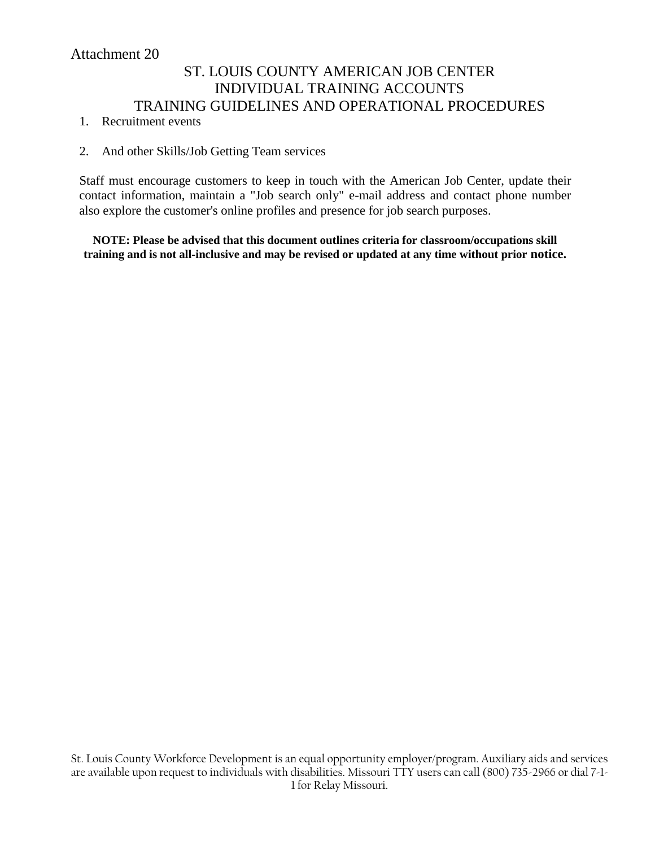# ST. LOUIS COUNTY AMERICAN JOB CENTER INDIVIDUAL TRAINING ACCOUNTS TRAINING GUIDELINES AND OPERATIONAL PROCEDURES

- 1. Recruitment events
- 2. And other Skills/Job Getting Team services

Staff must encourage customers to keep in touch with the American Job Center, update their contact information, maintain a "Job search only" e-mail address and contact phone number also explore the customer's online profiles and presence for job search purposes.

**NOTE: Please be advised that this document outlines criteria for classroom/occupations skill training and is not all-inclusive and may be revised or updated at any time without prior notice.**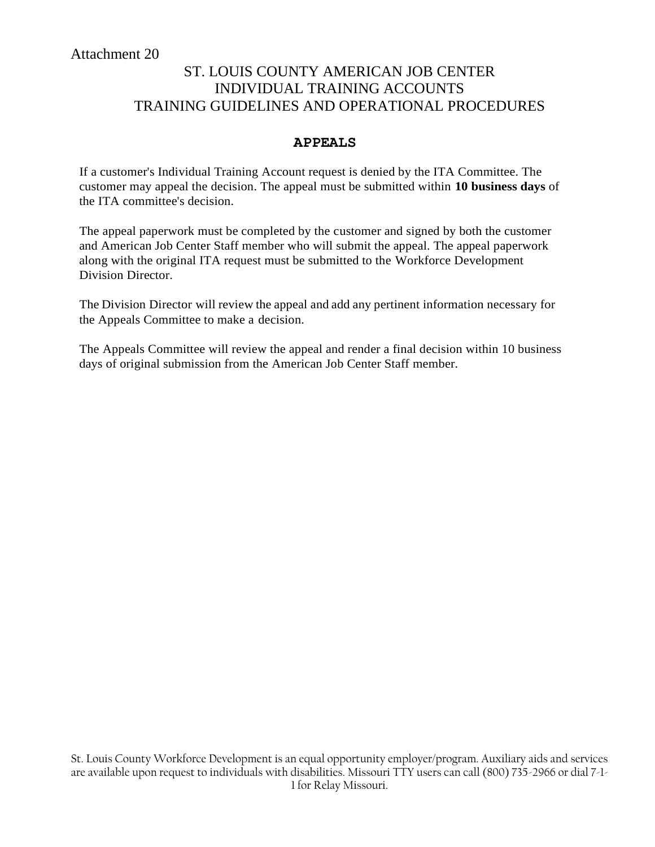# ST. LOUIS COUNTY AMERICAN JOB CENTER INDIVIDUAL TRAINING ACCOUNTS TRAINING GUIDELINES AND OPERATIONAL PROCEDURES

#### **APPEALS**

If a customer's Individual Training Account request is denied by the ITA Committee. The customer may appeal the decision. The appeal must be submitted within **10 business days** of the ITA committee's decision.

The appeal paperwork must be completed by the customer and signed by both the customer and American Job Center Staff member who will submit the appeal. The appeal paperwork along with the original ITA request must be submitted to the Workforce Development Division Director.

The Division Director will review the appeal and add any pertinent information necessary for the Appeals Committee to make a decision.

The Appeals Committee will review the appeal and render a final decision within 10 business days of original submission from the American Job Center Staff member.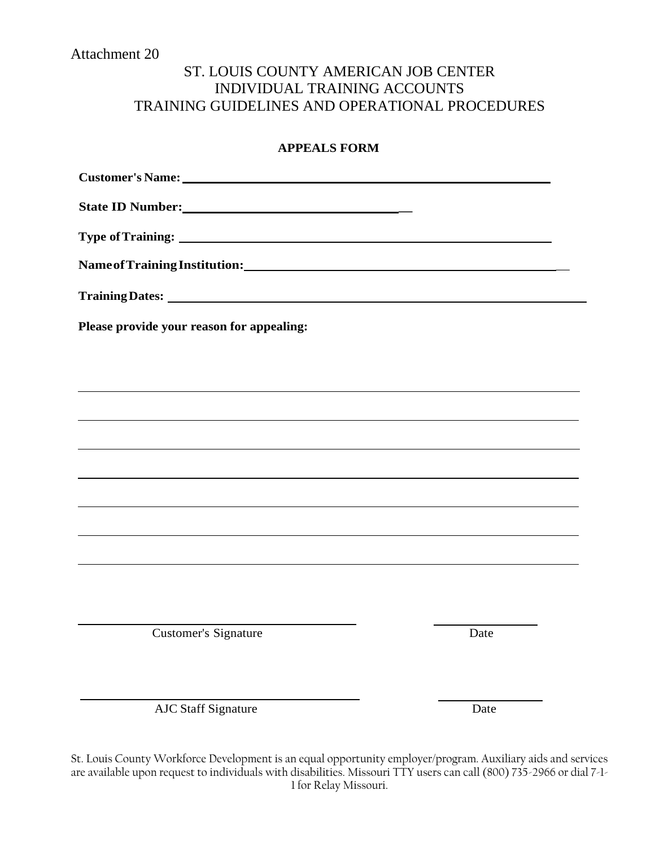# ST. LOUIS COUNTY AMERICAN JOB CENTER INDIVIDUAL TRAINING ACCOUNTS TRAINING GUIDELINES AND OPERATIONAL PROCEDURES

#### **APPEALS FORM**

| Please provide your reason for appealing: |      |
|-------------------------------------------|------|
|                                           |      |
|                                           |      |
|                                           |      |
|                                           |      |
|                                           |      |
|                                           |      |
|                                           |      |
|                                           |      |
|                                           |      |
|                                           |      |
| <b>Customer's Signature</b>               | Date |
|                                           |      |
|                                           |      |
| <b>AJC Staff Signature</b>                | Date |